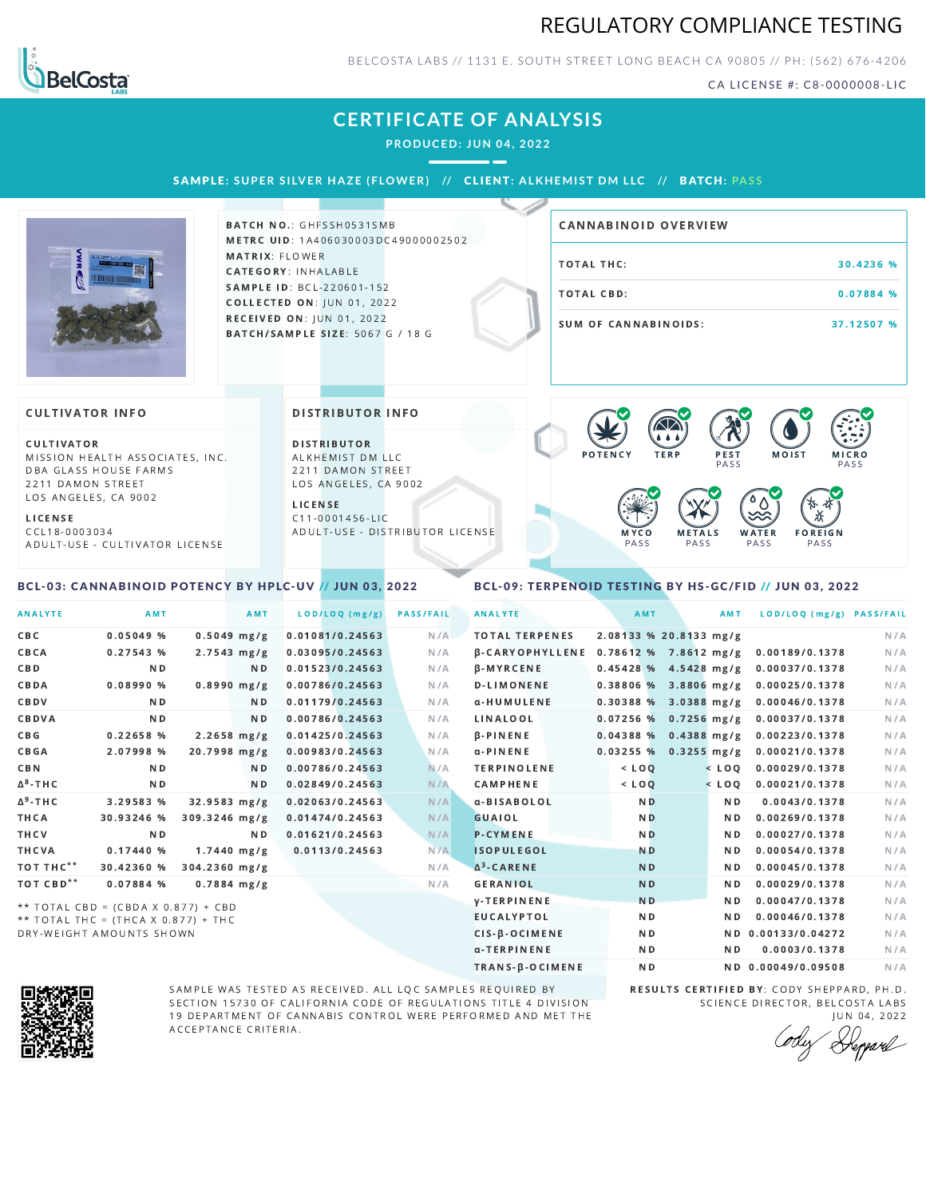# REGULATORY COMPLIANCE TESTING



BELCOSTA LABS // 1131 E. SOUTH STREET LONG BEACH C A 90805 // PH: (562) 676-4206

CA LICENSE #: C8-0000008-LIC

## **CERTIFICATE OF ANALYSIS**

**PRODUCED: JUN 04, 2022**

SAMPLE: SUPER SILVER HAZE (FLOWER) // CLIENT: ALKHEMIST DM LLC // BATCH: PASS



BATCH NO.: GHFSSH0531SMB METRC UID: 1A406030003DC49000002502 MATRIX: FLOWER CATEGORY: INHALABLE SAMPLE ID: BCL-220601-152 **COLLECTED ON: JUN 01, 2022** RECEIVED ON: JUN 01, 2022 BATCH/SAMPLE SIZE: 5067 G / 18 G

# TOTAL THC: 30.4236 % TOTAL CBD: 0.07884 % SUM OF CANNABINOIDS: 37.12507 % CANNABINOID OVERVIEW

#### **CULTIVATOR INFO**

CULTIVATOR MISSION HEALTH ASSOCIATES, INC. DBA GLASS HOUSE FARMS 2211 DAMON STREET LOS ANGELES, CA 9002

L I C E N S E

C C L 1 8 - 0 0 0 3 0 3 4 A D U L T - U S E - C U L T I V A T O R L I CENSE

<span id="page-0-0"></span>BCL-03: CANNABINOID POTENCY BY HPLC-UV // JUN 03, 2022

DISTRIBUTOR INFO

D I STRIBUTOR ALKHEMIST DM LLC 2211 DAMON STREET LOS ANGELES, CA 9002

L I C E N S E C 1 1 - 0 0 0 1 4 5 6 - L I C A D U L T - U S E - D I STRIBUTOR LICENSE



### <span id="page-0-1"></span>BCL-09: TERPENOID TESTING BY HS-GC/FID // JUN 03, 2022

| <b>ANALYTE</b>              | AMT                                                                          |                  | AMT            | LOD/LOQ (mg/g)  | <b>PASS/FAIL</b> | <b>ANALYTE</b>         | AMT            | AMT                     | LOD/LOQ (mg/g) PASS/FAIL |     |
|-----------------------------|------------------------------------------------------------------------------|------------------|----------------|-----------------|------------------|------------------------|----------------|-------------------------|--------------------------|-----|
| C B C                       | $0.05049$ %                                                                  | $0.5049$ mg/g    |                | 0.01081/0.24563 | N/A              | <b>TOTAL TERPENES</b>  |                | 2.08133 % 20.8133 mg/g  |                          | N/A |
| CBCA                        | 0.27543 %                                                                    | $2.7543 \, mg/g$ |                | 0.03095/0.24563 | N/A              | <b>B-CARYOPHYLLENE</b> |                | $0.78612%$ 7.8612 mg/g  | 0.00189/0.1378           | N/A |
| CBD                         | N <sub>D</sub>                                                               |                  | ND.            | 0.01523/0.24563 | N/A              | $\beta$ -MYRCENE       |                | $0.45428$ % 4.5428 mg/g | 0.00037/0.1378           | N/A |
| CBDA                        | 0.08990%                                                                     | $0.8990$ mg/g    |                | 0.00786/0.24563 | N/A              | <b>D-LIMONENE</b>      |                | 0.38806 % 3.8806 mg/g   | 0.00025/0.1378           | N/A |
| CBDV                        | N <sub>D</sub>                                                               |                  | N D            | 0.01179/0.24563 | N/A              | α-HUMULENE             |                | 0.30388 % 3.0388 mg/g   | 0.00046/0.1378           | N/A |
| CBDVA                       | N <sub>D</sub>                                                               |                  | N <sub>D</sub> | 0.00786/0.24563 | N/A              | LINALOOL               |                | $0.07256$ % 0.7256 mg/g | 0.00037/0.1378           | N/A |
| C B G                       | 0.22658 %                                                                    | $2.2658$ mg/g    |                | 0.01425/0.24563 | N/A              | $\beta$ -PINENE        |                | $0.04388%$ 0.4388 mg/g  | 0.00223/0.1378           | N/A |
| <b>CBGA</b>                 | 2.07998 %                                                                    | 20.7998 mg/g     |                | 0.00983/0.24563 | N/A              | $\alpha$ -PINENE       |                | $0.03255%$ 0.3255 mg/g  | 0.00021/0.1378           | N/A |
| <b>CBN</b>                  | N <sub>D</sub>                                                               |                  | N <sub>D</sub> | 0.00786/0.24563 | N/A              | <b>TERPINOLENE</b>     | $<$ LOO        | $<$ LOQ                 | 0.00029/0.1378           | N/A |
| $\Delta$ <sup>8</sup> - THC | ND.                                                                          |                  | N <sub>D</sub> | 0.02849/0.24563 | N/A              | <b>CAMPHENE</b>        | $<$ LOQ        | $<$ LOQ                 | 0.00021/0.1378           | N/A |
| ∆ <sup>9</sup> -ТНС         | 3.29583 %                                                                    | 32.9583 mg/g     |                | 0.02063/0.24563 | N/A              | a-BISABOLOL            | N <sub>D</sub> | N <sub>D</sub>          | 0.0043/0.1378            | N/A |
| THCA                        | 30.93246 %                                                                   | 309.3246 mg/g    |                | 0.01474/0.24563 | N/A              | <b>GUAIOL</b>          | N <sub>D</sub> | N <sub>D</sub>          | 0.00269/0.1378           | N/A |
| THCV                        | N <sub>D</sub>                                                               |                  | N <sub>D</sub> | 0.01621/0.24563 | N/A              | <b>P-CYMENE</b>        | N <sub>D</sub> | N <sub>D</sub>          | 0.00027/0.1378           | N/A |
| THCVA                       | 0.17440%                                                                     | $1.7440$ mg/g    |                | 0.0113/0.24563  | N/A              | <b>ISOPULEGOL</b>      | <b>ND</b>      | N <sub>D</sub>          | 0.00054/0.1378           | N/A |
| тот тнс**                   | 30.42360 %                                                                   | 304.2360 mg/g    |                |                 | N/A              | $\Delta^3$ -CARENE     | <b>ND</b>      | N <sub>D</sub>          | 0.00045/0.1378           | N/A |
| TOT CBD <sup>**</sup>       | 0.07884 %                                                                    | $0.7884$ mg/g    |                |                 | N/A              | <b>GERANIOL</b>        | <b>ND</b>      | ND.                     | 0.00029/0.1378           | N/A |
|                             |                                                                              |                  |                |                 |                  | <b>y-TERPINENE</b>     | <b>ND</b>      | N <sub>D</sub>          | 0.00047/0.1378           | N/A |
|                             | ** TOTAL CBD = (CBDA X 0.877) + CBD<br>** TOTAL THC = $(THCA X 0.877) + THC$ |                  |                |                 |                  | <b>EUCALYPTOL</b>      | N <sub>D</sub> | N <sub>D</sub>          | 0.00046/0.1378           | N/A |



DRY-WEIGHT AMOUNTS SHOWN

SAMPLE WAS TESTED AS RECEIVED. ALL LQC SAMPLES REQUIRED BY SECTION 15730 OF CALIFORNIA CODE OF REGULATIONS TITLE 4 DIVISION 19 DEPARTMENT OF CANNABIS CONTROL WERE PERFORMED AND MET THE A C C E P T A N C E C R I T E R I A.

RESULTS CERTIFIED BY: CODY SHEPPARD, PH.D. SCIENCE DIRECTOR, BELCOSTA LABS J U N 0 4 , 2 0 2 2

CIS-β-OCIMENE ND ND ND 0.00133/0.04272 N/A α-TERPINENE **ND ND 0.0003/0.1378** N/A TRANS-β-OCIMENE ND ND 0.00049/0.09508 N/A

Depard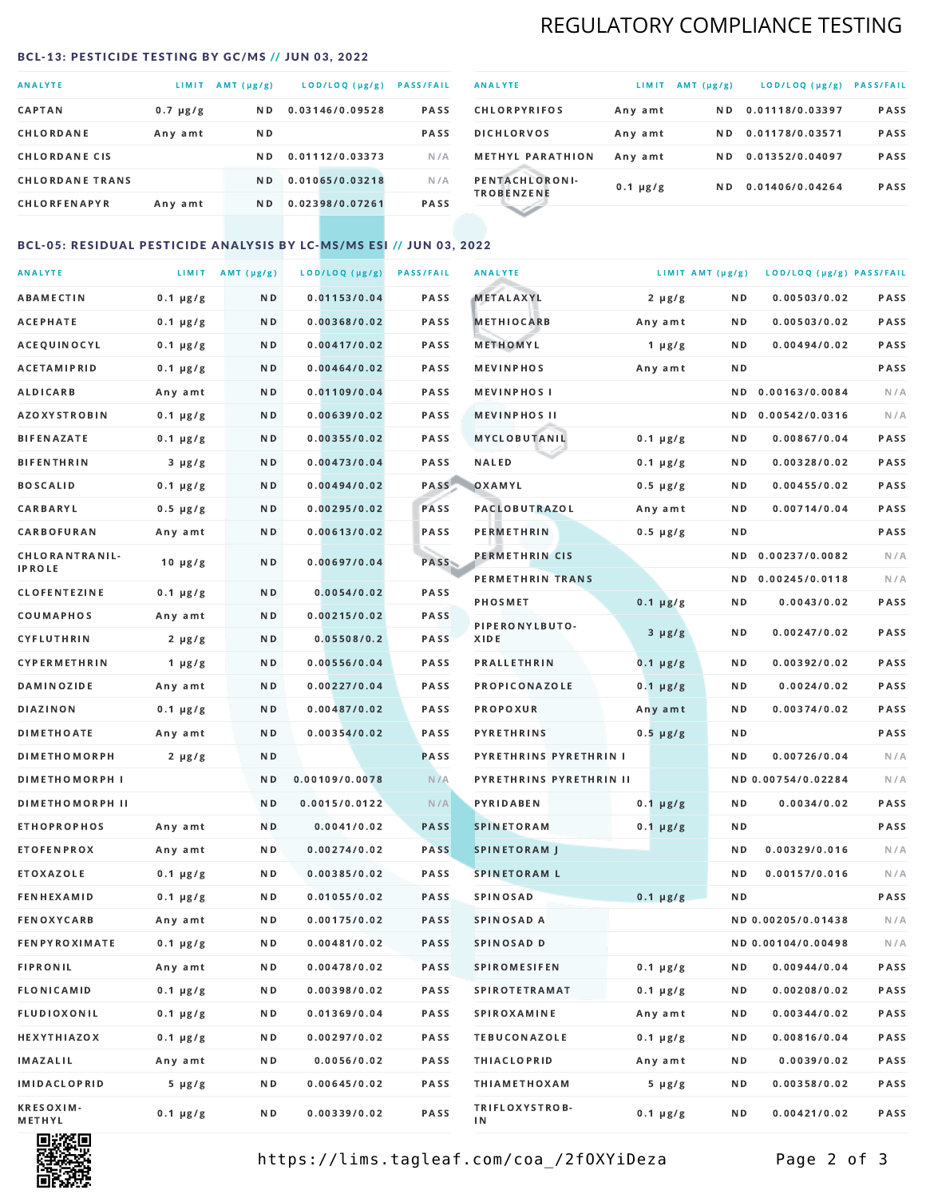# REGULATORY COMPLIANCE TESTING

#### <span id="page-1-0"></span>BCL-13: PESTICIDE TESTING BY GC/MS // JUN 03, 2022

| <b>ANALYTE</b>         | <b>LIMIT</b>  | $AMT(\mu g/g)$ | LOD/LOQ (µg/g)  | <b>PASS/FAIL</b> |
|------------------------|---------------|----------------|-----------------|------------------|
| <b>CAPTAN</b>          | $0.7 \mu g/g$ | N <sub>D</sub> | 0.03146/0.09528 | <b>PASS</b>      |
| CHLORDANE              | Any amt       | N D            |                 | <b>PASS</b>      |
| <b>CHLORDANE CIS</b>   |               | N D            | 0.01112/0.03373 | N/A              |
| <b>CHLORDANE TRANS</b> |               | N <sub>D</sub> | 0.01065/0.03218 | N/A              |
| <b>CHLORFENAPYR</b>    | Any amt       | N D            | 0.02398/0.07261 | <b>PASS</b>      |

| <b>ANALYTE</b>                      | LIMIT         | AMT $(\mu g/g)$ | LOD/LOQ (µg/g)  | <b>PASS/FAIL</b> |
|-------------------------------------|---------------|-----------------|-----------------|------------------|
| <b>CHLORPYRIFOS</b>                 | Any amt       | N D             | 0.01118/0.03397 | <b>PASS</b>      |
| <b>DICHLORVOS</b>                   | Any amt       | N D.            | 0.01178/0.03571 | PASS             |
| <b>METHYL PARATHION</b>             | Any amt       | ND.             | 0.01352/0.04097 | <b>PASS</b>      |
| PENTACHLORONI-<br><b>TROBENZENE</b> | $0.1 \mu g/g$ | ND.             | 0.01406/0.04264 | <b>PASS</b>      |
|                                     |               |                 |                 |                  |

### BCL-05: RESIDUAL PESTICIDE ANALYSIS BY LC-MS/MS ESI // JUN 03, 2022

| <b>ANALYTE</b>             |               | LIMIT $AMT (\mu g/g)$ | LOD/LOQ (µg/g) | <b>PASS/FAIL</b> | <b>ANALYTE</b>          | LIMIT AMT $(\mu g/g)$ |     | LOD/LOQ (µg/g) PASS/FAIL |      |
|----------------------------|---------------|-----------------------|----------------|------------------|-------------------------|-----------------------|-----|--------------------------|------|
| ABAMECTIN                  | $0.1 \mu g/g$ | N D                   | 0.01153/0.04   | PASS             | <b>METALAXYL</b>        | $2 \mu g/g$           | N D | 0.00503/0.02             | PASS |
| АСЕРНАТЕ                   | $0.1 \mu g/g$ | N D                   | 0.00368/0.02   | <b>PASS</b>      | <b>METHIOCARB</b>       | Any amt               | N D | 0.00503/0.02             | PASS |
| ACEQUINOCYL                | $0.1 \mu g/g$ | N D                   | 0.00417/0.02   | PASS             | METHOMYL                | 1 $\mu$ g/g           | N D | 0.00494/0.02             | PASS |
| <b>ACETAMIPRID</b>         | $0.1 \mu g/g$ | N D                   | 0.00464/0.02   | PASS             | <b>MEVINPHOS</b>        | Any amt               | ND. |                          | PASS |
| ALDICARB                   | Any amt       | N D                   | 0.01109/0.04   | <b>PASS</b>      | <b>MEVINPHOS I</b>      |                       | ND. | 0.00163/0.0084           | N/A  |
| <b>AZOXYSTROBIN</b>        | $0.1 \mu g/g$ | N D                   | 0.00639/0.02   | <b>PASS</b>      | <b>MEVINPHOS II</b>     |                       | N D | 0.00542/0.0316           | N/A  |
| BIFENAZATE                 | $0.1 \mu g/g$ | N D                   | 0.00355/0.02   | PASS             | MYCLOBUTANIL            | $0.1 \mu g/g$         | N D | 0.00867/0.04             | PASS |
| <b>BIFENTHRIN</b>          | $3 \mu g/g$   | N D                   | 0.00473/0.04   | PASS             | <b>NALED</b>            | $0.1 \mu g/g$         | N D | 0.00328/0.02             | PASS |
| <b>BOSCALID</b>            | $0.1 \mu g/g$ | N D                   | 0.00494/0.02   | PASS             | OXAMYL                  | $0.5 \mu g/g$         | ND  | 0.00455/0.02             | PASS |
| <b>CARBARYL</b>            | $0.5 \mu g/g$ | N D                   | 0.00295/0.02   | PASS             | <b>PACLOBUTRAZOL</b>    | Any amt               | N D | 0.00714/0.04             | PASS |
| CARBOFURAN                 | Any amt       | N D                   | 0.00613/0.02   | PASS             | PERMETHRIN              | $0.5 \mu g/g$         | N D |                          | PASS |
| CHLORANTRANIL-             | $10 \mu g/g$  | N D                   | 0.00697/0.04   | PASS             | PERMETHRIN CIS          |                       | ND. | 0.00237/0.0082           | N/A  |
| <b>IPROLE</b>              |               |                       |                |                  | PERMETHRIN TRANS        |                       |     | ND 0.00245/0.0118        | N/A  |
| <b>CLOFENTEZINE</b>        | $0.1 \mu g/g$ | N D                   | 0.0054/0.02    | PASS             | <b>PHOSMET</b>          | $0.1 \mu g/g$         | N D | 0.0043/0.02              | PASS |
| COUMAPHOS                  | Any amt       | N D                   | 0.00215/0.02   | <b>PASS</b>      | PIPERONYLBUTO-          | $3 \mu g/g$           | N D | 0.00247/0.02             | PASS |
| CYFLUTHRIN                 | $2 \mu g/g$   | N D                   | 0.05508/0.2    | <b>PASS</b>      | XIDE                    |                       |     |                          |      |
| <b>CYPERMETHRIN</b>        | $1 \mu g/g$   | N D                   | 0.00556/0.04   | PASS             | <b>PRALLETHRIN</b>      | $0.1 \mu g/g$         | N D | 0.00392/0.02             | PASS |
| <b>DAMINOZIDE</b>          | Any amt       | N D                   | 0.00227/0.04   | PASS             | PROPICONAZOLE           | $0.1 \mu g/g$         | N D | 0.0024/0.02              | PASS |
| <b>DIAZINON</b>            | $0.1 \mu g/g$ | N D                   | 0.00487/0.02   | <b>PASS</b>      | <b>PROPOXUR</b>         | Any amt               | N D | 0.00374/0.02             | PASS |
| <b>DIMETHOATE</b>          | Any amt       | N D                   | 0.00354/0.02   | <b>PASS</b>      | <b>PYRETHRINS</b>       | $0.5 \mu g/g$         | N D |                          | PASS |
| <b>DIMETHOMORPH</b>        | $2 \mu g/g$   | N D                   |                | <b>PASS</b>      | PYRETHRINS PYRETHRIN I  |                       | N D | 0.00726/0.04             | N/A  |
| <b>DIMETHOMORPH I</b>      |               | N D                   | 0.00109/0.0078 | N/A              | PYRETHRINS PYRETHRIN II |                       |     | ND 0.00754/0.02284       | N/A  |
| <b>DIMETHOMORPH II</b>     |               | ND.                   | 0.0015/0.0122  | N/A              | PYRIDABEN               | $0.1 \mu g/g$         | N D | 0.0034/0.02              | PASS |
| <b>ETHOPROPHOS</b>         | Any amt       | N D                   | 0.0041/0.02    | <b>PASS</b>      | <b>SPINETORAM</b>       | $0.1 \mu g/g$         | N D |                          | PASS |
| <b>ETOFENPROX</b>          | Any amt       | N D                   | 0.00274/0.02   | <b>PASS</b>      | <b>SPINETORAM J</b>     |                       | N D | 0.00329/0.016            | N/A  |
| ETOXAZOLE                  | $0.1 \mu g/g$ | N D                   | 0.00385/0.02   | PASS             | <b>SPINETORAM L</b>     |                       | ND. | 0.00157/0.016            | N/A  |
| <b>FENHEXAMID</b>          | $0.1 \mu g/g$ | N D                   | 0.01055/0.02   | <b>PASS</b>      | <b>SPINOSAD</b>         | $0.1 \mu g/g$         | N D |                          | PASS |
| FENOXYCARB                 | Any amt       | N D                   | 0.00175/0.02   | <b>PASS</b>      | SPINOSAD A              |                       |     | ND 0.00205/0.01438       | N/A  |
| <b>FENPYROXIMATE</b>       | $0.1 \mu g/g$ | N D                   | 0.00481/0.02   | PASS             | SPINOSAD D              |                       |     | ND 0.00104/0.00498       | N/A  |
| <b>FIPRONIL</b>            | Any amt       | N D                   | 0.00478/0.02   | PASS             | <b>SPIROMESIFEN</b>     | $0.1 \mu g/g$         | ND. | 0.00944/0.04             | PASS |
| FLONICAMID                 | $0.1 \mu g/g$ | N D                   | 0.00398/0.02   | PASS             | <b>SPIROTETRAMAT</b>    | $0.1 \mu g/g$         | N D | 0.00208/0.02             | PASS |
| FLUDIOXONIL                | $0.1 \mu g/g$ | N D                   | 0.01369/0.04   | PASS             | <b>SPIROXAMINE</b>      | Any amt               | N D | 0.00344/0.02             | PASS |
| <b>HEXYTHIAZOX</b>         | $0.1 \mu g/g$ | N D                   | 0.00297/0.02   | PASS             | <b>TEBUCONAZOLE</b>     | $0.1 \mu g/g$         | N D | 0.00816/0.04             | PASS |
| <b>IMAZALIL</b>            | Any amt       | N D                   | 0.0056/0.02    | PASS             | <b>THIACLOPRID</b>      | Any amt               | N D | 0.0039/0.02              | PASS |
| <b>IMIDACLOPRID</b>        | $5 \mu g/g$   | N D                   | 0.00645/0.02   | PASS             | <b>THIAMETHOXAM</b>     | $5 \mu g/g$           | N D | 0.00358/0.02             | PASS |
| <b>KRESOXIM-</b><br>METHYL | $0.1 \mu g/g$ | N D                   | 0.00339/0.02   | PASS             | TRIFLOXYSTROB-<br>ΙN    | $0.1 \mu g/g$         | N D | 0.00421/0.02             | PASS |